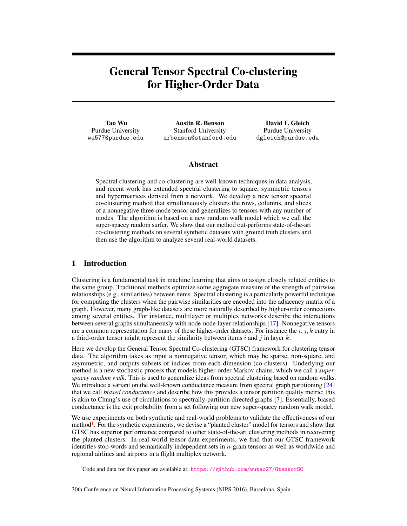# General Tensor Spectral Co-clustering for Higher-Order Data

Tao Wu Purdue University wu577@purdue.edu

Austin R. Benson Stanford University arbenson@stanford.edu

David F. Gleich Purdue University dgleich@purdue.edu

# Abstract

Spectral clustering and co-clustering are well-known techniques in data analysis, and recent work has extended spectral clustering to square, symmetric tensors and hypermatrices derived from a network. We develop a new tensor spectral co-clustering method that simultaneously clusters the rows, columns, and slices of a nonnegative three-mode tensor and generalizes to tensors with any number of modes. The algorithm is based on a new random walk model which we call the super-spacey random surfer. We show that our method out-performs state-of-the-art co-clustering methods on several synthetic datasets with ground truth clusters and then use the algorithm to analyze several real-world datasets.

# 1 Introduction

Clustering is a fundamental task in machine learning that aims to assign closely related entities to the same group. Traditional methods optimize some aggregate measure of the strength of pairwise relationships (e.g., similarities) between items. Spectral clustering is a particularly powerful technique for computing the clusters when the pairwise similarities are encoded into the adjacency matrix of a graph. However, many graph-like datasets are more naturally described by higher-order connections among several entities. For instance, multilayer or multiplex networks describe the interactions between several graphs simultaneously with node-node-layer relationships [17]. Nonnegative tensors are a common representation for many of these higher-order datasets. For instance the  $i, j, k$  entry in a third-order tensor might represent the similarity between items i and j in layer k.

Here we develop the General Tensor Spectral Co-clustering (GTSC) framework for clustering tensor data. The algorithm takes as input a nonnegative tensor, which may be sparse, non-square, and asymmetric, and outputs subsets of indices from each dimension (co-clusters). Underlying our method is a new stochastic process that models higher-order Markov chains, which we call a *superspacey random walk*. This is used to generalize ideas from spectral clustering based on random walks. We introduce a variant on the well-known conductance measure from spectral graph partitioning [24] that we call *biased conductance* and describe how this provides a tensor partition quality metric; this is akin to Chung's use of circulations to spectrally-partition directed graphs [7]. Essentially, biased conductance is the exit probability from a set following our new super-spacey random walk model.

We use experiments on both synthetic and real-world problems to validate the effectiveness of our method<sup>1</sup>. For the synthetic experiments, we devise a "planted cluster" model for tensors and show that GTSC has superior performance compared to other state-of-the-art clustering methods in recovering the planted clusters. In real-world tensor data experiments, we find that our GTSC framework identifies stop-words and semantically independent sets in  $n$ -gram tensors as well as worldwide and regional airlines and airports in a flight multiplex network.

#### 30th Conference on Neural Information Processing Systems (NIPS 2016), Barcelona, Spain.

<sup>1</sup>Code and data for this paper are available at: <https://github.com/wutao27/GtensorSC>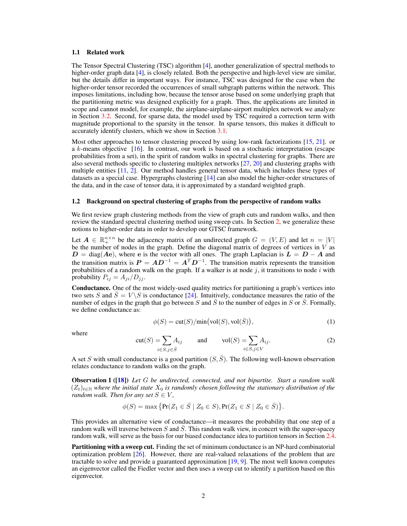#### 1.1 Related work

The Tensor Spectral Clustering (TSC) algorithm [4], another generalization of spectral methods to higher-order graph data [4], is closely related. Both the perspective and high-level view are similar, but the details differ in important ways. For instance, TSC was designed for the case when the higher-order tensor recorded the occurrences of small subgraph patterns within the network. This imposes limitations, including how, because the tensor arose based on some underlying graph that the partitioning metric was designed explicitly for a graph. Thus, the applications are limited in scope and cannot model, for example, the airplane-airplane-airport multiplex network we analyze in Section 3.2. Second, for sparse data, the model used by TSC required a correction term with magnitude proportional to the sparsity in the tensor. In sparse tensors, this makes it difficult to accurately identify clusters, which we show in Section 3.1.

Most other approaches to tensor clustering proceed by using low-rank factorizations [15, 21]. or a k-means objective [16]. In contrast, our work is based on a stochastic interpretation (escape probabilities from a set), in the spirit of random walks in spectral clustering for graphs. There are also several methods specific to clustering multiplex networks [27, 20] and clustering graphs with multiple entities [11, 2]. Our method handles general tensor data, which includes these types of datasets as a special case. Hypergraphs clustering [14] can also model the higher-order structures of the data, and in the case of tensor data, it is approximated by a standard weighted graph.

### 1.2 Background on spectral clustering of graphs from the perspective of random walks

We first review graph clustering methods from the view of graph cuts and random walks, and then review the standard spectral clustering method using sweep cuts. In Section 2, we generalize these notions to higher-order data in order to develop our GTSC framework.

Let  $A \in \mathbb{R}_+^{n \times n}$  be the adjacency matrix of an undirected graph  $G = (V, E)$  and let  $n = |V|$ be the number of nodes in the graph. Define the diagonal matrix of degrees of vertices in  $V$  as  $D = \text{diag}(A\mathbf{e})$ , where  $\mathbf{e}$  is the vector with all ones. The graph Laplacian is  $L = D - A$  and the transition matrix is  $P = AD^{-1} = A^T D^{-1}$ . The transition matrix represents the transition probabilities of a random walk on the graph. If a walker is at node j, it transitions to node  $i$  with probability  $P_{ij} = A_{ji}/D_{jj}$ .

Conductance. One of the most widely-used quality metrics for partitioning a graph's vertices into two sets S and  $\overline{S} = V \setminus S$  is conductance [24]. Intuitively, conductance measures the ratio of the number of edges in the graph that go between S and  $\overline{S}$  to the number of edges in S or  $\overline{S}$ . Formally, we define conductance as:

$$
\phi(S) = \text{cut}(S)/\text{min}(\text{vol}(S), \text{vol}(\bar{S})),\tag{1}
$$

where

$$
cut(S) = \sum_{i \in S, j \in \bar{S}} A_{ij} \quad \text{and} \quad vol(S) = \sum_{i \in S, j \in V} A_{ij}.
$$
 (2)

A set S with small conductance is a good partition  $(S, \overline{S})$ . The following well-known observation relates conductance to random walks on the graph.

Observation 1 ([18]) *Let* G *be undirected, connected, and not bipartite. Start a random walk*  $(Z_t)_{t\in\mathbb{N}}$  where the initial state  $X_0$  is randomly chosen following the stationary distribution of the *random walk. Then for any set*  $S \in V$ ,

$$
\phi(S) = \max \{ \Pr(Z_1 \in \bar{S} \mid Z_0 \in S), \Pr(Z_1 \in S \mid Z_0 \in \bar{S}) \}.
$$

This provides an alternative view of conductance—it measures the probability that one step of a random walk will traverse between  $S$  and  $S$ . This random walk view, in concert with the super-spacey random walk, will serve as the basis for our biased conductance idea to partition tensors in Section 2.4.

**Partitioning with a sweep cut.** Finding the set of minimum conductance is an NP-hard combinatorial optimization problem [26]. However, there are real-valued relaxations of the problem that are tractable to solve and provide a guaranteed approximation [19, 9]. The most well known computes an eigenvector called the Fiedler vector and then uses a sweep cut to identify a partition based on this eigenvector.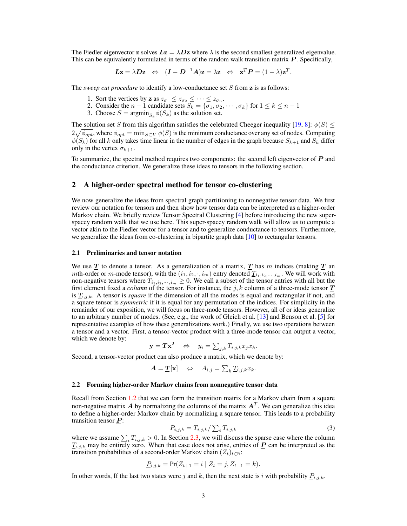The Fiedler eigenvector z solves  $Lz = \lambda Dz$  where  $\lambda$  is the second smallest generalized eigenvalue. This can be equivalently formulated in terms of the random walk transition matrix  $P$ . Specifically,

$$
L\mathbf{z} = \lambda D\mathbf{z} \quad \Leftrightarrow \quad (\mathbf{I} - \mathbf{D}^{-1}\mathbf{A})\mathbf{z} = \lambda \mathbf{z} \quad \Leftrightarrow \quad \mathbf{z}^T \mathbf{P} = (1 - \lambda)\mathbf{z}^T.
$$

The *sweep cut procedure* to identify a low-conductance set S from z is as follows:

- 1. Sort the vertices by **z** as  $z_{\sigma_1} \leq z_{\sigma_2} \leq \cdots \leq z_{\sigma_n}$ .
- 2. Consider the  $n-1$  candidate sets  $S_k = {\sigma_1, \sigma_2, \cdots, \sigma_k}$  for  $1 \leq k \leq n-1$
- 3. Choose  $S = \operatorname{argmin}_{S_k} \phi(S_k)$  as the solution set.

The solution set S from this algorithm satisfies the celebrated Cheeger inequality [19, 8]:  $\phi(S) \leq$  $2\sqrt{\phi_{opt}}$ , where  $\phi_{opt} = \min_{S \subset V} \phi(S)$  is the minimum conductance over any set of nodes. Computing  $\phi(S_k)$  for all k only takes time linear in the number of edges in the graph because  $S_{k+1}$  and  $S_k$  differ only in the vertex  $\sigma_{k+1}$ .

To summarize, the spectral method requires two components: the second left eigenvector of P and the conductance criterion. We generalize these ideas to tensors in the following section.

# 2 A higher-order spectral method for tensor co-clustering

We now generalize the ideas from spectral graph partitioning to nonnegative tensor data. We first review our notation for tensors and then show how tensor data can be interpreted as a higher-order Markov chain. We briefly review Tensor Spectral Clustering [4] before introducing the new superspacey random walk that we use here. This super-spacey random walk will allow us to compute a vector akin to the Fiedler vector for a tensor and to generalize conductance to tensors. Furthermore, we generalize the ideas from co-clustering in bipartite graph data [10] to rectangular tensors.

## 2.1 Preliminaries and tensor notation

We use  $\underline{T}$  to denote a tensor. As a generalization of a matrix,  $\underline{T}$  has m indices (making  $\underline{T}$  an mth-order or m-mode tensor), with the  $(i_1, i_2, \cdot, i_m)$  entry denoted  $\underline{T}_{i_1, i_2, \cdots, i_m}$ . We will work with non-negative tensors where  $\underline{T}_{i_1,i_2,\cdots,i_m} \geq 0$ . We call a subset of the tensor entries with all but the first element fixed a *column* of the tensor. For instance, the  $j, k$  column of a three-mode tensor  $\underline{T}$ is  $\underline{T}_{:,j,k}$ . A tensor is *square* if the dimension of all the modes is equal and rectangular if not, and a square tensor is *symmetric* if it is equal for any permutation of the indices. For simplicity in the remainder of our exposition, we will focus on three-mode tensors. However, all of or ideas generalize to an arbitrary number of modes. (See, e.g., the work of Gleich et al. [13] and Benson et al. [5] for representative examples of how these generalizations work.) Finally, we use two operations between a tensor and a vector. First, a tensor-vector product with a three-mode tensor can output a vector, which we denote by:

$$
\mathbf{y} = \underline{T} \mathbf{x}^2 \quad \Leftrightarrow \quad y_i = \sum_{j,k} \underline{T}_{i,j,k} x_j x_k.
$$

Second, a tensor-vector product can also produce a matrix, which we denote by:

$$
\mathbf{A} = \mathbf{T}[\mathbf{x}] \quad \Leftrightarrow \quad A_{i,j} = \sum_{k} \mathbf{T}_{i,j,k} x_k.
$$

#### 2.2 Forming higher-order Markov chains from nonnegative tensor data

Recall from Section 1.2 that we can form the transition matrix for a Markov chain from a square non-negative matrix A by normalizing the columns of the matrix  $A<sup>T</sup>$ . We can generalize this idea to define a higher-order Markov chain by normalizing a square tensor. This leads to a probability transition tensor  $P$ :

$$
\underline{P}_{i,j,k} = \underline{T}_{i,j,k} / \sum_{i} \underline{T}_{i,j,k} \tag{3}
$$

where we assume  $\sum_i \underline{T}_{i,j,k} > 0$ . In Section 2.3, we will discuss the sparse case where the column  $\underline{T}_{:,j,k}$  may be entirely zero. When that case does not arise, entries of  $\underline{P}$  can be interpreted as the transition probabilities of a second-order Markov chain  $(Z_t)_{t \in \mathbb{N}}$ :

$$
\underline{P}_{i,j,k} = \Pr(Z_{t+1} = i \mid Z_t = j, Z_{t-1} = k).
$$

In other words, If the last two states were j and k, then the next state is i with probability  $P_{i,j,k}$ .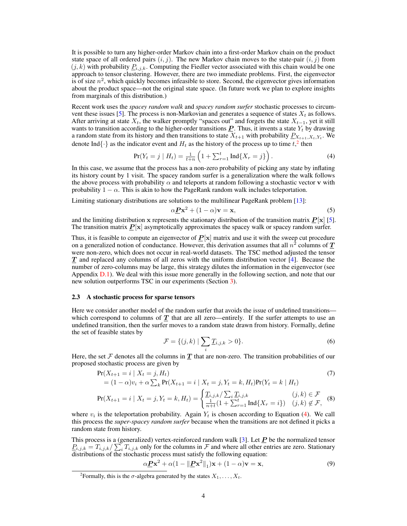It is possible to turn any higher-order Markov chain into a first-order Markov chain on the product state space of all ordered pairs  $(i, j)$ . The new Markov chain moves to the state-pair  $(i, j)$  from  $(j, k)$  with probability  $P_{i,j,k}$ . Computing the Fiedler vector associated with this chain would be one approach to tensor clustering. However, there are two immediate problems. First, the eigenvector is of size  $n^2$ , which quickly becomes infeasible to store. Second, the eigenvector gives information about the product space—not the original state space. (In future work we plan to explore insights from marginals of this distribution.)

Recent work uses the *spacey random walk* and *spacey random surfer* stochastic processes to circumvent these issues [5]. The process is non-Markovian and generates a sequence of states  $X_t$  as follows. After arriving at state  $X_t$ , the walker promptly "spaces out" and forgets the state  $X_{t-1}$ , yet it still wants to transition according to the higher-order transitions  $\vec{P}$ . Thus, it invents a state  $Y_t$  by drawing a random state from its history and then transitions to state  $X_{t+1}$  with probability  $P_{X_{t+1},X_t,Y_t}$ . We denote Ind $\{\cdot\}$  as the indicator event and  $H_t$  as the history of the process up to time  $t$ ,  $^2$  then

$$
\Pr(Y_t = j \mid H_t) = \frac{1}{t+n} \left( 1 + \sum_{r=1}^t \text{Ind}\{X_r = j\} \right). \tag{4}
$$

In this case, we assume that the process has a non-zero probability of picking any state by inflating its history count by 1 visit. The spacey random surfer is a generalization where the walk follows the above process with probability  $\alpha$  and teleports at random following a stochastic vector v with probability  $1 - \alpha$ . This is akin to how the PageRank random walk includes teleportation.

Limiting stationary distributions are solutions to the multilinear PageRank problem [13]:

$$
\alpha \underline{P} \mathbf{x}^2 + (1 - \alpha) \mathbf{v} = \mathbf{x},\tag{5}
$$

and the limiting distribution x represents the stationary distribution of the transition matrix  $P[x]$  [5]. The transition matrix  $P[x]$  asymptotically approximates the spacey walk or spacey random surfer.

Thus, it is feasible to compute an eigenvector of  $P[x]$  matrix and use it with the sweep cut procedure on a generalized notion of conductance. However, this derivation assumes that all  $n^2$  columns of  $\underline{\mathcal{I}}$ were non-zero, which does not occur in real-world datasets. The TSC method adjusted the tensor  $T$  and replaced any columns of all zeros with the uniform distribution vector  $[4]$ . Because the number of zero-columns may be large, this strategy dilutes the information in the eigenvector (see Appendix D.1). We deal with this issue more generally in the following section, and note that our new solution outperforms TSC in our experiments (Section 3).

#### 2.3 A stochastic process for sparse tensors

Here we consider another model of the random surfer that avoids the issue of undefined transitions which correspond to columns of  $T$  that are all zero—entirely. If the surfer attempts to use an undefined transition, then the surfer moves to a random state drawn from history. Formally, define the set of feasible states by

$$
\mathcal{F} = \{ (j,k) \mid \sum_{i} \underline{T}_{i,j,k} > 0 \}. \tag{6}
$$

Here, the set F denotes all the columns in  $T$  that are non-zero. The transition probabilities of our proposed stochastic process are given by

$$
\Pr(X_{t+1} = i \mid X_t = j, H_t) \\
= (1 - \alpha)v_t + \alpha \sum_k \Pr(X_{t+1} = i \mid X_t = j, Y_t = k, H_t)\Pr(Y_t = k \mid H_t)
$$
\n(7)

$$
\Pr(X_{t+1} = i \mid X_t = j, Y_t = k, H_t) = \begin{cases} \frac{T_{i,j,k}}{\sum_i T_{i,j,k}} & (j,k) \in \mathcal{F} \\ \frac{1}{n+t} (1 + \sum_{r=1}^t \text{Ind}\{X_r = i\}) & (j,k) \notin \mathcal{F}, \end{cases}
$$
(8)

where  $v_i$  is the teleportation probability. Again  $Y_t$  is chosen according to Equation (4). We call this process the *super-spacey random surfer* because when the transitions are not defined it picks a random state from history.

This process is a (generalized) vertex-reinforced random walk [3]. Let  $\vec{P}$  be the normalized tensor  $P_{i,j,k} = T_{i,j,k} / \sum_i T_{i,j,k}$  only for the columns in F and where all other entries are zero. Stationary distributions of the stochastic process must satisfy the following equation:

$$
\alpha \underline{\boldsymbol{P}} \mathbf{x}^2 + \alpha (1 - ||\underline{\boldsymbol{P}} \mathbf{x}^2||_1) \mathbf{x} + (1 - \alpha) \mathbf{v} = \mathbf{x},\tag{9}
$$

<sup>&</sup>lt;sup>2</sup> Formally, this is the  $\sigma$ -algebra generated by the states  $X_1, \ldots, X_t$ .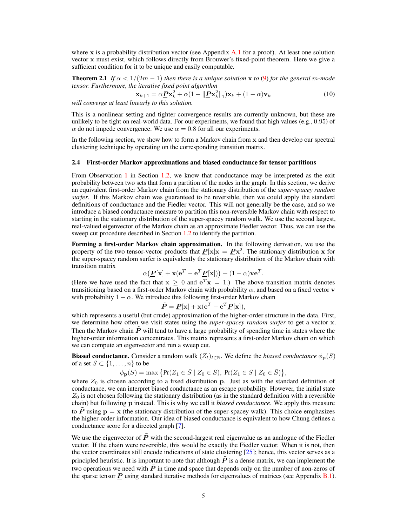where x is a probability distribution vector (see Appendix  $A<sub>1</sub>$  for a proof). At least one solution vector x must exist, which follows directly from Brouwer's fixed-point theorem. Here we give a sufficient condition for it to be unique and easily computable.

**Theorem 2.1** *If*  $\alpha < 1/(2m - 1)$  *then there is a unique solution* x *to* (9) *for the general m-mode tensor. Furthermore, the iterative fixed point algorithm*

$$
\mathbf{x}_{k+1} = \alpha \mathbf{P} \mathbf{x}_k^2 + \alpha (1 - ||\mathbf{P} \mathbf{x}_k^2||_1) \mathbf{x}_k + (1 - \alpha) \mathbf{v}_k
$$
(10)

*will converge at least linearly to this solution.*

This is a nonlinear setting and tighter convergence results are currently unknown, but these are unlikely to be tight on real-world data. For our experiments, we found that high values (e.g.,  $0.95$ ) of  $\alpha$  do not impede convergence. We use  $\alpha = 0.8$  for all our experiments.

In the following section, we show how to form a Markov chain from x and then develop our spectral clustering technique by operating on the corresponding transition matrix.

#### 2.4 First-order Markov approximations and biased conductance for tensor partitions

From Observation 1 in Section 1.2, we know that conductance may be interpreted as the exit probability between two sets that form a partition of the nodes in the graph. In this section, we derive an equivalent first-order Markov chain from the stationary distribution of the *super-spacey random surfer*. If this Markov chain was guaranteed to be reversible, then we could apply the standard definitions of conductance and the Fiedler vector. This will not generally be the case, and so we introduce a biased conductance measure to partition this non-reversible Markov chain with respect to starting in the stationary distribution of the super-spacey random walk. We use the second largest, real-valued eigenvector of the Markov chain as an approximate Fiedler vector. Thus, we can use the sweep cut procedure described in Section 1.2 to identify the partition.

Forming a first-order Markov chain approximation. In the following derivation, we use the property of the two tensor-vector products that  $P[x]x = Px^2$ . The stationary distribution x for the super-spacey random surfer is equivalently the stationary distribution of the Markov chain with transition matrix

$$
\alpha(\underline{\boldsymbol{P}}[\mathbf{x}] + \mathbf{x}(\mathbf{e}^T - \mathbf{e}^T \underline{\boldsymbol{P}}[\mathbf{x}])) + (1 - \alpha)\mathbf{v}\mathbf{e}^T.
$$

(Here we have used the fact that  $x \geq 0$  and  $e^T x = 1$ .) The above transition matrix denotes transitioning based on a first-order Markov chain with probability  $\alpha$ , and based on a fixed vector v with probability  $1 - \alpha$ . We introduce this following first-order Markov chain

$$
\tilde{P} = \underline{P}[\mathbf{x}] + \mathbf{x}(\mathbf{e}^T - \mathbf{e}^T \underline{P}[\mathbf{x}]),
$$

which represents a useful (but crude) approximation of the higher-order structure in the data. First, we determine how often we visit states using the *super-spacey random surfer* to get a vector x. Then the Markov chain  $\tilde{P}$  will tend to have a large probability of spending time in states where the higher-order information concentrates. This matrix represents a first-order Markov chain on which we can compute an eigenvector and run a sweep cut.

**Biased conductance.** Consider a random walk  $(Z_t)_{t \in \mathbb{N}}$ . We define the *biased conductance*  $\phi_{\mathbf{p}}(S)$ of a set  $S \subset \{1, \ldots, n\}$  to be

$$
\phi_{\mathbf{p}}(S) = \max \big\{ \Pr(Z_1 \in \bar{S} \mid Z_0 \in S), \, \Pr(Z_1 \in S \mid Z_0 \in \bar{S}) \big\},\
$$

where  $Z_0$  is chosen according to a fixed distribution p. Just as with the standard definition of conductance, we can interpret biased conductance as an escape probability. However, the initial state  $Z_0$  is not chosen following the stationary distribution (as in the standard definition with a reversible chain) but following p instead. This is why we call it *biased conductance*. We apply this measure to  $\tilde{P}$  using  $p = x$  (the stationary distribution of the super-spacey walk). This choice emphasizes the higher-order information. Our idea of biased conductance is equivalent to how Chung defines a conductance score for a directed graph [7].

We use the eigenvector of  $\tilde{P}$  with the second-largest real eigenvalue as an analogue of the Fiedler vector. If the chain were reversible, this would be exactly the Fiedler vector. When it is not, then the vector coordinates still encode indications of state clustering [25]; hence, this vector serves as a principled heuristic. It is important to note that although  $\tilde{P}$  is a dense matrix, we can implement the two operations we need with  $\tilde{P}$  in time and space that depends only on the number of non-zeros of the sparse tensor  $\vec{P}$  using standard iterative methods for eigenvalues of matrices (see Appendix B.1).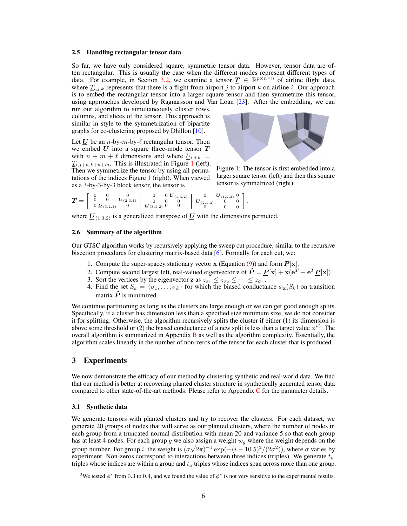### 2.5 Handling rectangular tensor data

So far, we have only considered square, symmetric tensor data. However, tensor data are often rectangular. This is usually the case when the different modes represent different types of data. For example, in Section 3.2, we examine a tensor  $T \in \mathbb{R}^{p \times n \times n}$  of airline flight data, where  $\underline{T}_{i,j,k}$  represents that there is a flight from airport j to airport k on airline i. Our approach is to embed the rectangular tensor into a larger square tensor and then symmetrize this tensor, using approaches developed by Ragnarsson and Van Loan [23]. After the embedding, we can

run our algorithm to simultaneously cluster rows, columns, and slices of the tensor. This approach is similar in style to the symmetrization of bipartite graphs for co-clustering proposed by Dhillon [10].

Let U be an *n*-by-*m*-by- $\ell$  rectangular tensor. Then we embed  $U$  into a square three-mode tensor  $T$ with  $n + m + \ell$  dimensions and where  $\underline{U}_{i,j,k} =$  $T_{i,j+n,k+n+m}$ . This is illustrated in Figure 1 (left). Then we symmetrize the tensor by using all permutations of the indices Figure 1 (right). When viewed as a 3-by-3-by-3 block tensor, the tensor is



Figure 1: The tensor is first embedded into a larger square tensor (left) and then this square tensor is symmetrized (right).

$$
\underline{T} = \left[\begin{array}{cc|c} 0 & 0 & 0 & 0 \\ 0 & 0 & \underline{U}_{(2,3,1)} \\ 0 & \underline{U}_{(3,2,1)} & 0 \end{array}\right. \left.\begin{array}{cc|c} 0 & 0 & \underline{U}_{(1,3,2)} & 0 & \underline{U}_{(1,2,3)} & 0 \\ 0 & 0 & 0 & 0 & 0 \\ \underline{U}_{(3,1,2)} & 0 & 0 & 0 & 0 \\ 0 & 0 & 0 & 0 & 0 \end{array}\right],
$$

where  $\underline{U}_{(1,3,2)}$  is a generalized transpose of  $\underline{U}$  with the dimensions permuted.

# 2.6 Summary of the algorithm

Our GTSC algorithm works by recursively applying the sweep cut procedure, similar to the recursive bisection procedures for clustering matrix-based data [6]. Formally for each cut, we:

- 1. Compute the super-spacey stationary vector  $x$  (Equation (9)) and form  $\underline{P}[x]$ .
- 2. Compute second largest left, real-valued eigenvector **z** of  $\tilde{P} = \underline{P}[\mathbf{x}] + \mathbf{x}(\mathbf{e}^T \mathbf{e}^T \underline{P}[\mathbf{x}]).$
- 3. Sort the vertices by the eigenvector **z** as  $z_{\sigma_1} \leq z_{\sigma_2} \leq \cdots \leq z_{\sigma_n}$ .
- 4. Find the set  $S_k = \{\sigma_1, \ldots, \sigma_k\}$  for which the biased conductance  $\phi_{\mathbf{x}}(S_k)$  on transition matrix  $\tilde{P}$  is minimized.

We continue partitioning as long as the clusters are large enough or we can get good enough splits. Specifically, if a cluster has dimension less than a specified size minimum size, we do not consider it for splitting. Otherwise, the algorithm recursively splits the cluster if either (1) its dimension is above some threshold or (2) the biased conductance of a new split is less than a target value  $\phi^{*3}$ . The overall algorithm is summarized in Appendix  $\bf{B}$  as well as the algorithm complexity. Essentially, the algorithm scales linearly in the number of non-zeros of the tensor for each cluster that is produced.

# 3 Experiments

We now demonstrate the efficacy of our method by clustering synthetic and real-world data. We find that our method is better at recovering planted cluster structure in synthetically generated tensor data compared to other state-of-the-art methods. Please refer to Appendix C for the parameter details.

### 3.1 Synthetic data

We generate tensors with planted clusters and try to recover the clusters. For each dataset, we generate 20 groups of nodes that will serve as our planted clusters, where the number of nodes in each group from a truncated normal distribution with mean 20 and variance 5 so that each group has at least 4 nodes. For each group g we also assign a weight  $w_g$  where the weight depends on the group number. For group *i*, the weight is  $(\sigma\sqrt{2\pi})^{-1}$   $\exp(-(i-10.5)^2/(2\sigma^2))$ , where  $\sigma$  varies by experiment. Non-zeros correspond to interactions between three indices (triples). We generate  $t_w$ triples whose indices are within a group and  $t_a$  triples whose indices span across more than one group.

<sup>&</sup>lt;sup>3</sup>We tested  $\phi^*$  from 0.3 to 0.4, and we found the value of  $\phi^*$  is not very sensitive to the experimental results.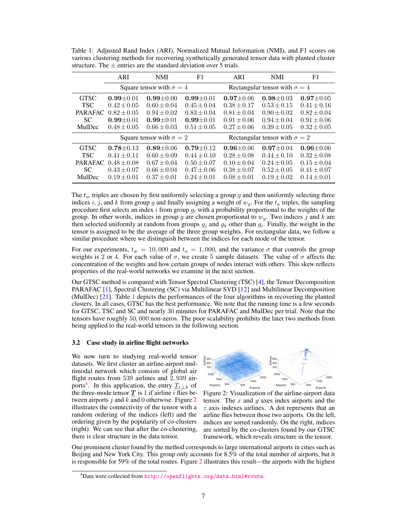|                | ARI                             | <b>NMI</b>      | F1              | ARI                                  | <b>NMI</b>                           | F1              |  |
|----------------|---------------------------------|-----------------|-----------------|--------------------------------------|--------------------------------------|-----------------|--|
|                | Square tensor with $\sigma = 4$ |                 |                 | Rectangular tensor with $\sigma = 4$ |                                      |                 |  |
| <b>GTSC</b>    | $0.99 \pm 0.01$                 | $0.99 \pm 0.00$ | $0.99 \pm 0.01$ | $0.97 \pm 0.06$                      | $0.98 \pm 0.03$                      | $0.97 \pm 0.05$ |  |
| <b>TSC</b>     | $0.42 \pm 0.05$                 | $0.60 \pm 0.04$ | $0.45 \pm 0.04$ | $0.38 \pm 0.17$                      | $0.53 \pm 0.15$                      | $0.41 \pm 0.16$ |  |
| <b>PARAFAC</b> | $0.82 \pm 0.05$                 | $0.94 \pm 0.02$ | $0.83 \pm 0.04$ | $0.81 \pm 0.04$                      | $0.90 \pm 0.02$                      | $0.82 \pm 0.04$ |  |
| SC.            | $0.99 + 0.01$                   | $0.99 + 0.01$   | $0.99 + 0.01$   | $0.91 \pm 0.06$                      | $0.94 \pm 0.04$                      | $0.91 \pm 0.06$ |  |
| MulDec         | $0.48 \pm 0.05$                 | $0.66 \pm 0.03$ | $0.51 \pm 0.05$ | $0.27 \pm 0.06$                      | $0.39 \pm 0.05$                      | $0.32 \pm 0.05$ |  |
|                | Square tensor with $\sigma = 2$ |                 |                 |                                      | Rectangular tensor with $\sigma = 2$ |                 |  |
| <b>GTSC</b>    | $0.78 \pm 0.13$                 | $0.89 + 0.06$   | $0.79 \pm 0.12$ | $0.96 \pm 0.06$                      | $0.97 \pm 0.04$                      | $0.96 \pm 0.06$ |  |
| <b>TSC</b>     | $0.41 \pm 0.11$                 | $0.60 \pm 0.09$ | $0.44 \pm 0.10$ | $0.28 \pm 0.08$                      | $0.44 \pm 0.10$                      | $0.32 \pm 0.08$ |  |
| <b>PARAFAC</b> | $0.48 \pm 0.08$                 | $0.67 \pm 0.04$ | $0.50 \pm 0.07$ | $0.10 \pm 0.04$                      | $0.24 \pm 0.05$                      | $0.15 \pm 0.04$ |  |
| SC.            | $0.43 \pm 0.07$                 | $0.66 \pm 0.04$ | $0.47 \pm 0.06$ | $0.38 \pm 0.07$                      | $0.52 \pm 0.05$                      | $0.41 \pm 0.07$ |  |
| MulDec         | $0.19 \pm 0.01$                 | $0.37 \pm 0.01$ | $0.24 \pm 0.01$ | $0.08 \pm 0.01$                      | $0.19 \pm 0.02$                      | $0.14 \pm 0.01$ |  |

Table 1: Adjusted Rand Index (ARI), Normalized Mutual Information (NMI), and F1 scores on various clustering methods for recovering synthetically generated tensor data with planted cluster structure. The  $\pm$  entries are the standard deviation over 5 trials.

The  $t_w$  triples are chosen by first uniformly selecting a group g and then uniformly selecting three indices i, j, and k from group g and finally assigning a weight of  $w_q$ . For the  $t_a$  triples, the sampling procedure first selects an index i from group  $q_i$  with a probability proportional to the weights of the group. In other words, indices in group g are chosen proportional to  $w<sub>q</sub>$ . Two indices j and k are then selected uniformly at random from groups  $g_j$  and  $g_k$  other than  $g_i$ . Finally, the weight in the tensor is assigned to be the average of the three group weights. For rectangular data, we follow a similar procedure where we distinguish between the indices for each mode of the tensor.

For our experiments,  $t_w = 10,000$  and  $t_a = 1,000$ , and the variance  $\sigma$  that controls the group weights is 2 or 4. For each value of  $\sigma$ , we create 5 sample datasets. The value of  $\sigma$  affects the concentration of the weights and how certain groups of nodes interact with others. This skew reflects properties of the real-world networks we examine in the next section.

Our GTSC method is compared with Tensor Spectral Clustering (TSC) [4], the Tensor Decomposition PARAFAC [1], Spectral Clustering (SC) via Multilinear SVD [12] and Multilinear Decomposition (MulDec) [21]. Table 1 depicts the performances of the four algorithms in recovering the planted clusters. In all cases, GTSC has the best performance. We note that the running time is a few seconds for GTSC, TSC and SC and nearly 30 minutes for PARAFAC and MulDec per trial. Note that the tensors have roughly 50, 000 non-zeros. The poor scalability prohibits the later two methods from being applied to the real-world tensors in the following section.

### 3.2 Case study in airline flight networks

We now turn to studying real-world tensor datasets. We first cluster an airline-airport multimodal network which consists of global air flight routes from 539 airlines and 2, 939 airports<sup>4</sup>. In this application, the entry  $\underline{T}_{i,j,k}$  of the three-mode tensor  $\underline{T}$  is 1 if airline *i* flies between airports  $j$  and  $k$  and 0 otherwise. Figure 2 illustrates the connectivity of the tensor with a random ordering of the indices (left) and the ordering given by the popularity of co-clusters (right). We can see that after the co-clustering, there is clear structure in the data tensor.



Figure 2: Visualization of the airline-airport data tensor. The  $x$  and  $y$  axes index airports and the z axis indexes airlines. A dot represents that an airline flies between those two airports. On the left, indices are sorted randomly. On the right, indices are sorted by the co-clusters found by our GTSC framework, which reveals structure in the tensor.

One prominent cluster found by the method corresponds to large international airports in cities such as Beijing and New York City. This group only accounts for 8.5% of the total number of airports, but it is responsible for 59% of the total routes. Figure 2 illustrates this result—the airports with the highest

<sup>4</sup>Data were collected from <http://openflights.org/data.html#route>.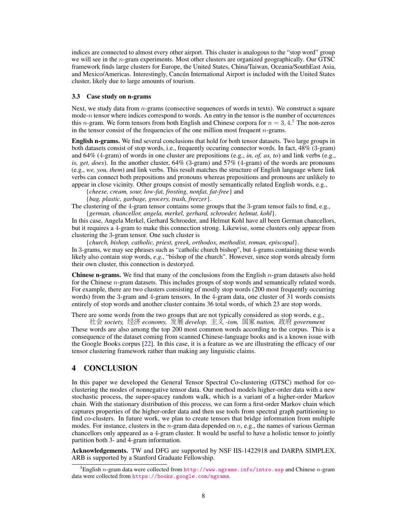indices are connected to almost every other airport. This cluster is analogous to the "stop word" group we will see in the n-gram experiments. Most other clusters are organized geographically. Our GTSC framework finds large clusters for Europe, the United States, China/Taiwan, Oceania/SouthEast Asia, and Mexico/Americas. Interestingly, Cancún International Airport is included with the United States cluster, likely due to large amounts of tourism.

## 3.3 Case study on n-grams

Next, we study data from  $n$ -grams (consective sequences of words in texts). We construct a square mode- $n$  tensor where indices correspond to words. An entry in the tensor is the number of occurrences this *n*-gram. We form tensors from both English and Chinese corpora for  $n = 3, 4.5$  The non-zeros in the tensor consist of the frequencies of the one million most frequent  $n$ -grams.

English n-grams. We find several conclusions that hold for both tensor datasets. Two large groups in both datasets consist of stop words, i.e., frequently occuring connector words. In fact, 48% (3-gram) and 64% (4-gram) of words in one cluster are prepositions (e.g., *in, of, as, to*) and link verbs (e.g., *is, get, does*). In the another cluster, 64% (3-gram) and 57% (4-gram) of the words are pronouns (e.g., *we, you, them*) and link verbs. This result matches the structure of English language where link verbs can connect both prepositions and pronouns whereas prepositions and pronouns are unlikely to appear in close vicinity. Other groups consist of mostly semantically related English words, e.g.,

{*cheese, cream, sour, low-fat, frosting, nonfat, fat-free*} and {*bag, plastic, garbage, grocery, trash, freezer*}.

The clustering of the 4-gram tensor contains some groups that the 3-gram tensor fails to find, e.g., {*german, chancellor, angela, merkel, gerhard, schroeder, helmut, kohl*}.

In this case, Angela Merkel, Gerhard Schroeder, and Helmut Kohl have all been German chancellors, but it requires a 4-gram to make this connection strong. Likewise, some clusters only appear from clustering the 3-gram tensor. One such cluster is

{*church, bishop, catholic, priest, greek, orthodox, methodist, roman, episcopal*}. In 3-grams, we may see phrases such as "catholic church bishop", but 4-grams containing these words likely also contain stop words, *e.g.*, "bishop of the church". However, since stop words already form their own cluster, this connection is destoryed.

**Chinese n-grams.** We find that many of the conclusions from the English  $n$ -gram datasets also hold for the Chinese *n*-gram datasets. This includes groups of stop words and semantically related words. For example, there are two clusters consisting of mostly stop words (200 most frequently occurring words) from the 3-gram and 4-gram tensors. In the 4-gram data, one cluster of 31 words consists entirely of stop words and another cluster contains 36 total words, of which 23 are stop words.

There are some words from the two groups that are not typically considered as stop words, e.g., <sup>社</sup><sup>会</sup> *society,* <sup>经</sup><sup>济</sup> *economy,* <sup>发</sup>展 *develop,* 主义 *-ism,* <sup>国</sup><sup>家</sup> *nation,* <sup>政</sup><sup>府</sup> *government*

These words are also among the top 200 most common words according to the corpus. This is a consequence of the dataset coming from scanned Chinese-language books and is a known issue with the Google Books corpus [22]. In this case, it is a feature as we are illustrating the efficacy of our tensor clustering framework rather than making any linguistic claims.

# 4 CONCLUSION

In this paper we developed the General Tensor Spectral Co-clustering (GTSC) method for coclustering the modes of nonnegative tensor data. Our method models higher-order data with a new stochastic process, the super-spacey random walk, which is a variant of a higher-order Markov chain. With the stationary distribution of this process, we can form a first-order Markov chain which captures properties of the higher-order data and then use tools from spectral graph partitioning to find co-clusters. In future work, we plan to create tensors that bridge information from multiple modes. For instance, clusters in the *n*-gram data depended on *n*, e.g., the names of various German chancellors only appeared as a 4-gram cluster. It would be useful to have a holistic tensor to jointly partition both 3- and 4-gram information.

Acknowledgements. TW and DFG are supported by NSF IIS-1422918 and DARPA SIMPLEX. ARB is supported by a Stanford Graduate Fellowship.

<sup>&</sup>lt;sup>5</sup>English *n*-gram data were collected from <http://www.ngrams.info/intro.asp> and Chinese *n*-gram data were collected from <https://books.google.com/ngrams>.